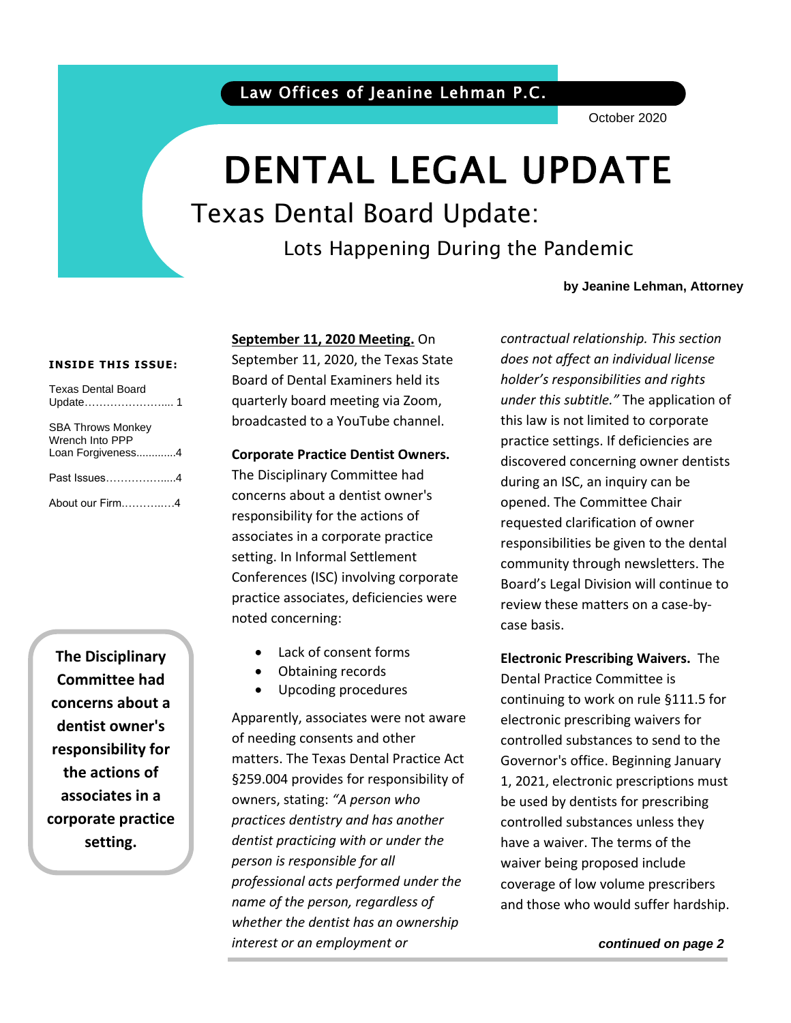October 2020

# DENTAL LEGAL UPDATE

Texas Dental Board Update:

Lots Happening During the Pandemic

### **by Jeanine Lehman, Attorney**

### **INSIDE THIS ISSUE:**

| <b>Texas Dental Board</b>                                        |
|------------------------------------------------------------------|
| <b>SBA Throws Monkey</b><br>Wrench Into PPP<br>Loan Forgiveness4 |
| Past Issues4                                                     |
| About our Firm4                                                  |

**The Disciplinary Committee had concerns about a dentist owner's responsibility for the actions of associates in a corporate practice setting.**

### **September 11, 2020 Meeting.** On

September 11, 2020, the Texas State Board of Dental Examiners held its quarterly board meeting via Zoom, broadcasted to a YouTube channel.

### **Corporate Practice Dentist Owners.**

The Disciplinary Committee had concerns about a dentist owner's responsibility for the actions of associates in a corporate practice setting. In Informal Settlement Conferences (ISC) involving corporate practice associates, deficiencies were noted concerning:

- Lack of consent forms
- Obtaining records
- Upcoding procedures

Apparently, associates were not aware of needing consents and other matters. The Texas Dental Practice Act §259.004 provides for responsibility of owners, stating: *"A person who practices dentistry and has another dentist practicing with or under the person is responsible for all professional acts performed under the name of the person, regardless of whether the dentist has an ownership interest or an employment or* 

*contractual relationship. This section does not affect an individual license holder's responsibilities and rights under this subtitle."* The application of this law is not limited to corporate practice settings. If deficiencies are discovered concerning owner dentists during an ISC, an inquiry can be opened. The Committee Chair requested clarification of owner responsibilities be given to the dental community through newsletters. The Board's Legal Division will continue to review these matters on a case-bycase basis.

**Electronic Prescribing Waivers.** The Dental Practice Committee is continuing to work on rule §111.5 for electronic prescribing waivers for controlled substances to send to the Governor's office. Beginning January 1, 2021, electronic prescriptions must be used by dentists for prescribing controlled substances unless they have a waiver. The terms of the waiver being proposed include coverage of low volume prescribers and those who would suffer hardship.

*continued on page 2*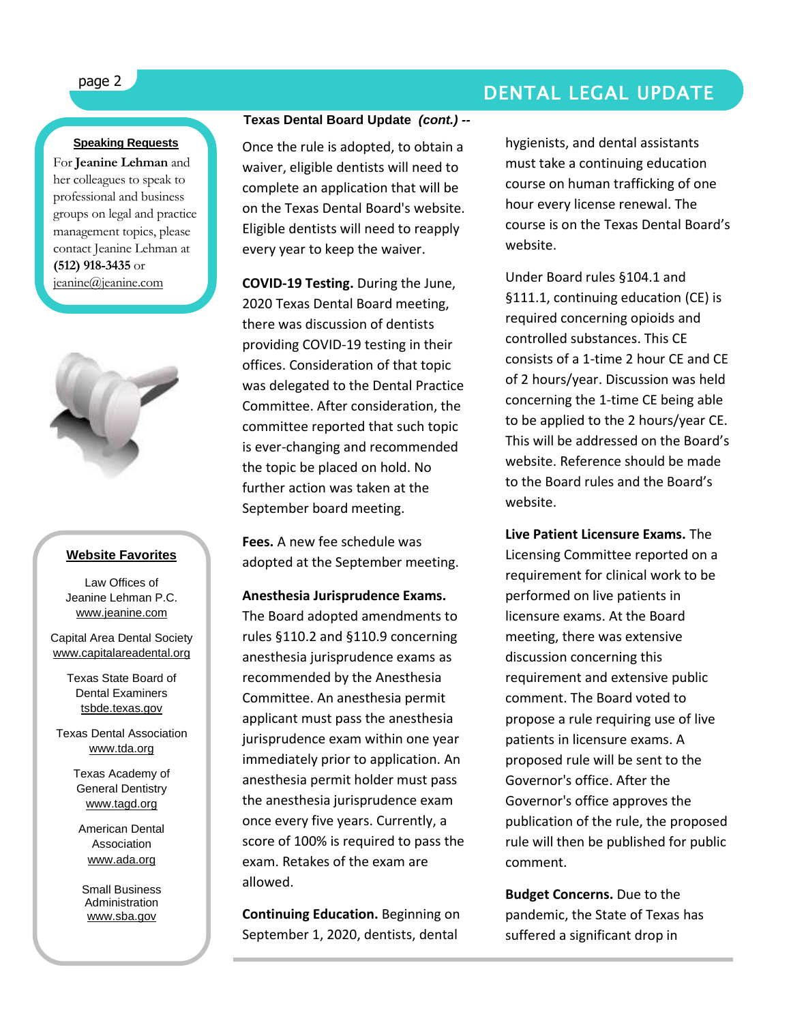### **Speaking Requests**

For **Jeanine Lehman** and her colleagues to speak to professional and business groups on legal and practice management topics, please contact Jeanine Lehman at **(512) 918-3435** or [jeanine@jeanine.com](mailto:jeanine@jeanine.com)



ì

#### **Website Favorites**

Law Offices of Jeanine Lehman P.C. [www.jeanine.com](http://www.jeanine.com/)

Capital Area Dental Society [www.capitalareadental.org](http://www.capitalareadental.org/)

> Texas State Board of Dental Examiners tsbde.texas.gov

Texas Dental Association [www.tda.org](http://www.tda.org/)

> Texas Academy of General Dentistry [www.tagd.org](http://www.tagd.org/)

American Dental Association [www.ada.org](http://www.ada.org/)

Small Business Administration [www.sba.gov](http://www.sba.gov/)

### **Texas Dental Board Update** *(cont.) --*

Once the rule is adopted, to obtain a waiver, eligible dentists will need to complete an application that will be on the Texas Dental Board's website. Eligible dentists will need to reapply every year to keep the waiver.

**COVID-19 Testing.** During the June, 2020 Texas Dental Board meeting, there was discussion of dentists providing COVID-19 testing in their offices. Consideration of that topic was delegated to the Dental Practice Committee. After consideration, the committee reported that such topic is ever-changing and recommended the topic be placed on hold. No further action was taken at the September board meeting.

**Fees.** A new fee schedule was adopted at the September meeting.

**Anesthesia Jurisprudence Exams.** The Board adopted amendments to rules §110.2 and §110.9 concerning anesthesia jurisprudence exams as recommended by the Anesthesia Committee. An anesthesia permit applicant must pass the anesthesia jurisprudence exam within one year immediately prior to application. An anesthesia permit holder must pass the anesthesia jurisprudence exam once every five years. Currently, a score of 100% is required to pass the exam. Retakes of the exam are allowed.

**Continuing Education.** Beginning on September 1, 2020, dentists, dental

## page 2 DENTAL LEGAL UPDATE

hygienists, and dental assistants must take a continuing education course on human trafficking of one hour every license renewal. The course is on the Texas Dental Board's website.

Under Board rules §104.1 and §111.1, continuing education (CE) is required concerning opioids and controlled substances. This CE consists of a 1-time 2 hour CE and CE of 2 hours/year. Discussion was held concerning the 1-time CE being able to be applied to the 2 hours/year CE. This will be addressed on the Board's website. Reference should be made to the Board rules and the Board's website.

**Live Patient Licensure Exams.** The Licensing Committee reported on a requirement for clinical work to be performed on live patients in licensure exams. At the Board meeting, there was extensive discussion concerning this requirement and extensive public comment. The Board voted to propose a rule requiring use of live patients in licensure exams. A proposed rule will be sent to the Governor's office. After the Governor's office approves the publication of the rule, the proposed rule will then be published for public comment.

**Budget Concerns.** Due to the pandemic, the State of Texas has suffered a significant drop in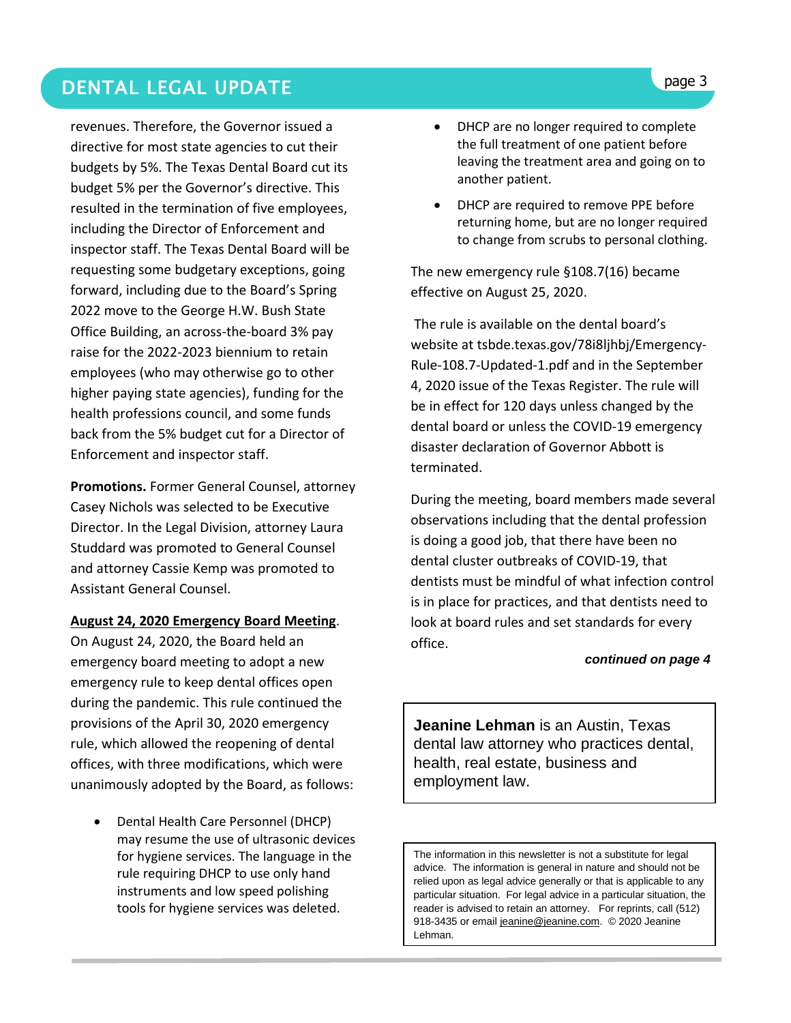### **DENTAL LEGAL UPDATE Superior and the second service of the service of the service of the service of the service of the service of the service of the service of the service of the service of the service of the service of**

revenues. Therefore, the Governor issued a directive for most state agencies to cut their budgets by 5%. The Texas Dental Board cut its budget 5% per the Governor's directive. This resulted in the termination of five employees, including the Director of Enforcement and inspector staff. The Texas Dental Board will be requesting some budgetary exceptions, going forward, including due to the Board's Spring 2022 move to the George H.W. Bush State Office Building, an across-the-board 3% pay raise for the 2022-2023 biennium to retain employees (who may otherwise go to other higher paying state agencies), funding for the health professions council, and some funds back from the 5% budget cut for a Director of Enforcement and inspector staff.

**Promotions.** Former General Counsel, attorney Casey Nichols was selected to be Executive Director. In the Legal Division, attorney Laura Studdard was promoted to General Counsel and attorney Cassie Kemp was promoted to Assistant General Counsel.

### **August 24, 2020 Emergency Board Meeting**.

On August 24, 2020, the Board held an emergency board meeting to adopt a new emergency rule to keep dental offices open during the pandemic. This rule continued the provisions of the April 30, 2020 emergency rule, which allowed the reopening of dental offices, with three modifications, which were unanimously adopted by the Board, as follows:

• Dental Health Care Personnel (DHCP) may resume the use of ultrasonic devices for hygiene services. The language in the rule requiring DHCP to use only hand instruments and low speed polishing tools for hygiene services was deleted.

- DHCP are no longer required to complete the full treatment of one patient before leaving the treatment area and going on to another patient.
- DHCP are required to remove PPE before returning home, but are no longer required to change from scrubs to personal clothing.

The new emergency rule §108.7(16) became effective on August 25, 2020.

The rule is available on the dental board's website at tsbde.texas.gov/78i8ljhbj/Emergency-Rule-108.7-Updated-1.pdf and in the September 4, 2020 issue of the Texas Register. The rule will be in effect for 120 days unless changed by the dental board or unless the COVID-19 emergency disaster declaration of Governor Abbott is terminated.

During the meeting, board members made several observations including that the dental profession is doing a good job, that there have been no dental cluster outbreaks of COVID-19, that dentists must be mindful of what infection control is in place for practices, and that dentists need to look at board rules and set standards for every office.

#### *continued on page 4*

**Jeanine Lehman** is an Austin, Texas dental law attorney who practices dental, health, real estate, business and employment law.

The information in this newsletter is not a substitute for legal advice. The information is general in nature and should not be relied upon as legal advice generally or that is applicable to any particular situation. For legal advice in a particular situation, the reader is advised to retain an attorney. For reprints, call (512) 918-3435 or email [jeanine@jeanine.com.](mailto:jeanine@jeanine.com) © 2020 Jeanine Lehman.